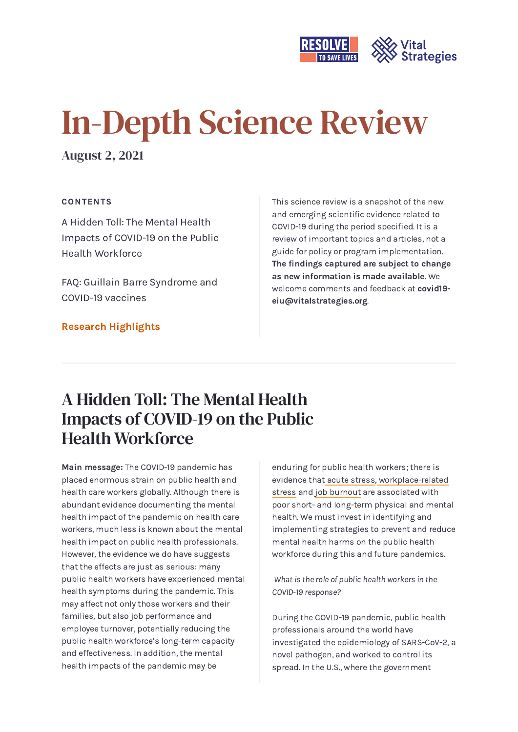

# In-Depth Science Review

August 2, 2021

#### CONTENTS

A Hidden Toll: The Mental Health Impacts of COVID-19 on the Public Health [Workforce](#page-0-0)

FAQ: Guillain Barre [Syndrome](#page-7-0) and COVID-19 vaccines

#### Research [Highlights](#page-8-0)

This science review is a snapshot of the new and emerging scientific evidence related to COVID-19 during the period specified. It is a review of important topics and articles, not a guide for policy or program implementation. The findings captured are subject to change as new information is made available. We welcome comments and feedback at covid19 [eiu@vitalstrategies.org.](mailto:covid19-eiu@vitalstrategies.org)

# <span id="page-0-0"></span>A Hidden Toll: The Mental Health Impacts of COVID-19 on the Public Health Workforce

Main message: The COVID-19 pandemic has placed enormous strain on public health and health care workers globally. Although there is abundant evidence documenting the mental health impact of the pandemic on health care workers, much less is known about the mental health impact on public health professionals. However, the evidence we do have suggests that the effects are just as serious: many public health workers have experienced mental health symptoms during the pandemic. This may affect not only those workers and their families, but also job performance and employee turnover, potentially reducing the public health workforce's long-term capacity and effectiveness. In addition, the mental health impacts of the pandemic may be

enduring for public health workers; there is evidence that acute [stress](https://www.sciencedirect.com/science/article/abs/pii/S0022399918300692), [workplace-related](https://bmjopen.bmj.com/content/10/7/e034849.abstract) stress and job [burnout](https://journals.plos.org/plosone/article?id=10.1371/journal.pone.0185781) are associated with poor short- and long-term physical and mental health. We must invest in identifying and implementing strategies to prevent and reduce mental health harms on the public health workforce during this and future pandemics.

What is the role of public health workers in the COVID-19 response?

During the COVID-19 pandemic, public health professionals around the world have investigated the epidemiology of SARS-CoV-2, a novel pathogen, and worked to control its spread. In the U.S., where the government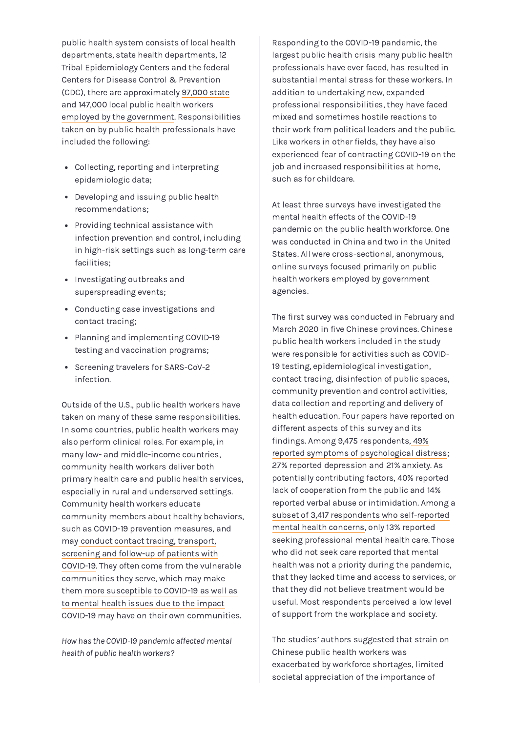public health system consists of local health departments, state health departments, 12 Tribal Epidemiology Centers and the federal Centers for Disease Control & Prevention (CDC), there are approximately 97,000 state and 147,000 local public health workers employed by the government. [Responsibiliti](https://slge.org/resources/how-does-the-public-health-workforce-compare-with-the-broader-public-sector)es taken on by public health professionals have included the following:

- Collecting, reporting and interpreting epidemiologic data;
- Developing and issuing public health recommendations;
- Providing technical assistance with infection prevention and control, including in high-risk settings such as long-term care facilities;
- Investigating outbreaks and superspreading events;
- Conducting case investigations and contact tracing;
- Planning and implementing COVID-19 testing and vaccination programs;
- Screening travelers for SARS-CoV-2 infection.

Outside of the U.S., public health workers have taken on many of these same responsibilities. In some countries, public health workers may also perform clinical roles. For example, in many low- and middle-income countries, community health workers deliver both primary health care and public health services, especially in rural and underserved settings. Community health workers educate community members about healthy behaviors, such as COVID-19 prevention measures, and may conduct contact tracing, transport, [screening](https://www.georgeinstitute.org/profiles/are-we-doing-enough-for-the-mental-well-being-of-community-health-workers-during-covid-19) and follow-up of patients with COVID-19. They often come from the vulnerable communities they serve, which may make them more [susceptible](https://www.ncbi.nlm.nih.gov/pmc/articles/PMC7785092/) to COVID-19 as well as to mental health issues due to the impact COVID-19 may have on their own communities.

How has the COVID-19 pandemic affected mental health of public health workers?

Responding to the COVID-19 pandemic, the largest public health crisis many public health professionals have ever faced, has resulted in substantial mental stress for these workers. In addition to undertaking new, expanded professional responsibilities, they have faced mixed and sometimes hostile reactions to their work from political leaders and the public. Like workers in other fields, they have also experienced fear of contracting COVID-19 on the job and increased responsibilities at home, such as for childcare.

At least three surveys have investigated the mental health effects of the COVID-19 pandemic on the public health workforce. One was conducted in China and two in the United States. All were cross-sectional, anonymous, online surveys focused primarily on public health workers employed by government agencies.

The first survey was conducted in February and March 2020 in five Chinese provinces. Chinese public health workers included in the study were responsible for activities such as COVID-19 testing, epidemiological investigation, contact tracing, disinfection of public spaces, community prevention and control activities, data collection and reporting and delivery of health education. Four papers have reported on different aspects of this survey and its findings. Among 9,475 respondents, 49% reported symptoms of [psychological](https://bmchealthservres.biomedcentral.com/articles/10.1186/s12913-021-06699-4) distress; 27% reported depression and 21% anxiety. As potentially contributing factors, 40% reported lack of cooperation from the public and 14% reported verbal abuse or intimidation. Among a subset of 3,417 respondents who [self-reported](https://www.frontiersin.org/articles/10.3389/fpubh.2021.622677/full) mental health concerns, only 13% reported seeking professional mental health care. Those who did not seek care reported that mental health was not a priority during the pandemic, that they lacked time and access to services, or that they did not believe treatment would be useful. Most respondents perceived a low level of support from the workplace and society.

The studies' authors suggested that strain on Chinese public health workers was exacerbated by workforce shortages, limited societal appreciation of the importance of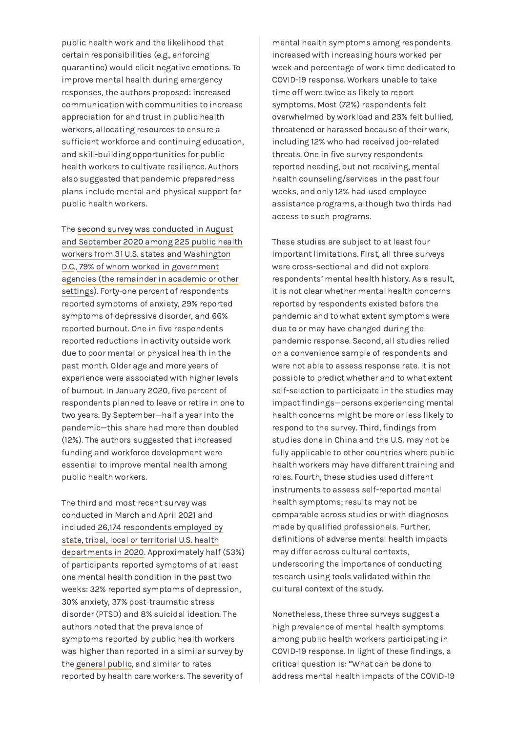public health work and the likelihood that certain responsibilities (e.g., enforcing quarantine) would elicit negative emotions. To improve mental health during emergency responses, the authors proposed: increased communication with communities to increase appreciation for and trust in public health workers, allocating resources to ensure a sufficient workforce and continuing education, and skill-building opportunities for public health workers to cultivate resilience. Authors also suggested that pandemic preparedness plans include mental and physical support for public health workers.

The second survey was conducted in August and September 2020 among 225 public health workers from 31 U.S. states and [Washington](https://www.mdpi.com/1660-4601/18/8/4369/htm#B29-ijerph-18-04369) D.C., 79% of whom worked in government agencies (the remainder in academic or other settings). Forty-one percent of [respondents](https://www.mdpi.com/1660-4601/18/8/4369/htm#B29-ijerph-18-04369) reported symptoms of anxiety, 29% reported symptoms of depressive disorder, and 66% reported burnout. One in five respondents reported reductions in activity outside work due to poor mental or physical health in the past month. Older age and more years of experience were associated with higher levels of burnout. In January 2020, five percent of respondents planned to leave or retire in one to two years. By September—half a year into the pandemic—this share had more than doubled (12%). The authors suggested that increased funding and workforce development were essential to improve mental health among public health workers.

The third and most recent survey was conducted in March and April 2021 and included 26,174 respondents employed by state, tribal, local or territorial U.S. health departments in 2020. [Approximately](https://www.cdc.gov/mmwr/volumes/70/wr/mm7026e1.htm) half (53%) of participants reported symptoms of at least one mental health condition in the past two weeks: 32% reported symptoms of depression, 30% anxiety, 37% post-traumatic stress disorder (PTSD) and 8% suicidal ideation. The authors noted that the prevalence of symptoms reported by public health workers was higher than reported in a similar survey by the [general](http://doi.org/10.15585/mmwr.mm6932a1) public, and similar to rates reported by health care workers. The severity of

mental health symptoms among respondents increased with increasing hours worked per week and percentage of work time dedicated to COVID-19 response. Workers unable to take time off were twice as likely to report symptoms. Most (72%) respondents felt overwhelmed by workload and 23% felt bullied, threatened or harassed because of their work, including 12% who had received job-related threats. One in five survey respondents reported needing, but not receiving, mental health counseling/services in the past four weeks, and only 12% had used employee assistance programs, although two thirds had access to such programs.

These studies are subject to at least four important limitations. First, all three surveys were cross-sectional and did not explore respondents' mental health history. As a result, it is not clear whether mental health concerns reported by respondents existed before the pandemic and to what extent symptoms were due to or may have changed during the pandemic response. Second, all studies relied on a convenience sample of respondents and were not able to assess response rate. It is not possible to predict whether and to what extent self-selection to participate in the studies may impact findings—persons experiencing mental health concerns might be more or less likely to respond to the survey. Third, findings from studies done in China and the U.S. may not be fully applicable to other countries where public health workers may have different training and roles. Fourth, these studies used different instruments to assess self-reported mental health symptoms; results may not be comparable across studies or with diagnoses made by qualified professionals. Further, definitions of adverse mental health impacts may differ across cultural contexts, underscoring the importance of conducting research using tools validated within the cultural context of the study.

Nonetheless, these three surveys suggest a high prevalence of mental health symptoms among public health workers participating in COVID-19 response. In light of these findings, a critical question is: "What can be done to address mental health impacts of the COVID-19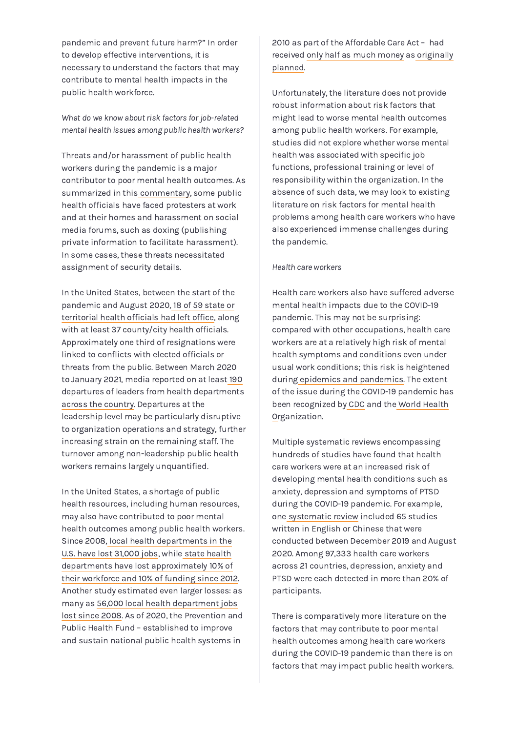pandemic and prevent future harm?" In order to develop effective interventions, it is necessary to understand the factors that may contribute to mental health impacts in the public health workforce.

What do we know about risk factors for job-related mental health issues among public health workers?

Threats and/or harassment of public health workers during the pandemic is a major contributor to poor mental health outcomes. As summarized in this [commentary](https://jamanetwork.com/journals/jama/fullarticle/2769291), some public health officials have faced protesters at work and at their homes and harassment on social media forums, such as doxing (publishing private information to facilitate harassment). In some cases, these threats necessitated assignment of security details.

In the United States, between the start of the pandemic and August 2020, 18 of 59 state or [territorial](https://journals.lww.com/jphmp/Fulltext/2021/01001/Public_Health_Officials_and_COVID_19__Leadership,.3.aspx) health officials had left office, along with at least 37 county/city health officials. Approximately one third of resignations were linked to conflicts with elected officials or threats from the public. Between March 2020 to January 2021, media reported on at least 190 departures of leaders from health [departments](https://www.jhsph.edu/covid-19/news-and-events/events/_documents/2021-02-24-special-webcast-we-stand-with-public-health.pdf) across the country. Departures at the leadership level may be particularly disruptive to organization operations and strategy, further increasing strain on the remaining staff. The turnover among non-leadership public health workers remains largely unquantified.

In the United States, a shortage of public health resources, including human resources, may also have contributed to poor mental health outcomes among public health workers. Since 2008, local health [departments](https://www.naccho.org/uploads/downloadable-resources/2019-Profile-Workforce-and-Finance-Capacity.pdf) in the U.S. have lost 31,000 jobs, while state health departments have lost [approximately](https://astho.org/Press-Room/New-Data-on-State-Health-Agencies-Shows-Shrinking-Workforce-and-Decreased-Funding-Leading-up-to-the-COVID-19-Pandemic/09-24-20/) 10% of their workforce and 10% of funding since 2012. Another study estimated even larger losses: as many as 56,000 local health [department](https://www.naccho.org/uploads/downloadable-resources/2018-Forces-of-Change-Main-Report.pdf) jobs lost since 2008. As of 2020, the Prevention and Public Health Fund – established to improve and sustain national public health systems in

2010 as part of the Affordable Care Act – had received only half as much [money](https://www.jhsph.edu/covid-19/news-and-events/events/_documents/2021-02-24-special-webcast-we-stand-with-public-health.pdf) as originally [planned.](https://www.jhsph.edu/covid-19/news-and-events/events/_documents/2021-02-24-special-webcast-we-stand-with-public-health.pdf)

Unfortunately, the literature does not provide robust information about risk factors that might lead to worse mental health outcomes among public health workers. For example, studies did not explore whether worse mental health was associated with specific job functions, professional training or level of responsibility within the organization. In the absence of such data, we may look to existing literature on risk factors for mental health problems among health care workers who have also experienced immense challenges during the pandemic.

#### Health care workers

Health care workers also have suffered adverse mental health impacts due to the COVID-19 pandemic. This may not be surprising: compared with other occupations, health care workers are at a relatively high risk of mental health symptoms and conditions even under usual work conditions; this risk is heightened during epidemics and [pandemics.](https://www.mdpi.com/1660-4601/18/13/6695) The extent of the issue during the COVID-19 pandemic has been recognized by [CDC](https://www.cdc.gov/coronavirus/2019-ncov/hcp/mental-health-healthcare.html) and the World Health [Organization.](https://www.who.int/news/item/17-09-2020-keep-health-workers-safe-to-keep-patients-safe-who)

Multiple systematic reviews encompassing hundreds of studies have found that health care workers were at an increased risk of developing mental health conditions such as anxiety, depression and symptoms of PTSD during the COVID-19 pandemic. For example, one [systematic](https://pubmed.ncbi.nlm.nih.gov/33690641/) review included 65 studies written in English or Chinese that were conducted between December 2019 and August 2020. Among 97,333 health care workers across 21 countries, depression, anxiety and PTSD were each detected in more than 20% of participants.

There is comparatively more literature on the factors that may contribute to poor mental health outcomes among health care workers during the COVID-19 pandemic than there is on factors that may impact public health workers.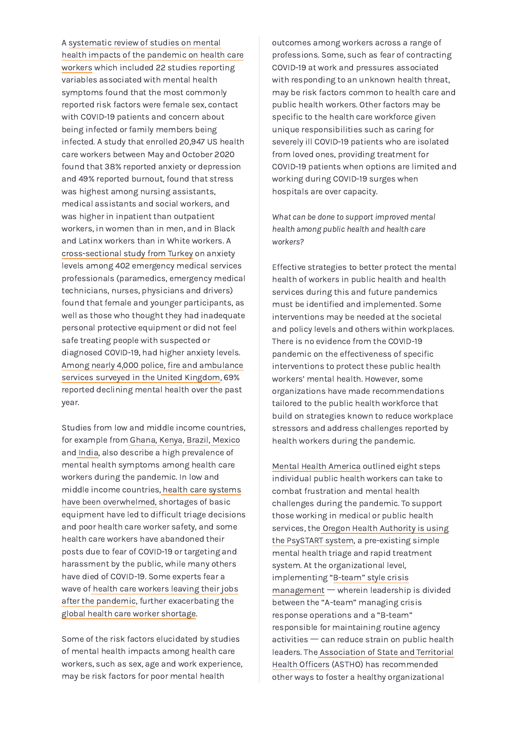A systematic review of studies on mental health impacts of the [pandemic](https://www.ncbi.nlm.nih.gov/pmc/articles/PMC7462563/) on health care workers which included 22 studies reporting variables associated with mental health symptoms found that the most commonly reported risk factors were female sex, contact with COVID-19 patients and concern about being infected or family members being infected. A study that enrolled 20,947 US health care workers between May and October 2020 found that 38% reported anxiety or depression and 49% reported burnout, found that stress was highest among nursing assistants, medical assistants and social workers, and was higher in inpatient than outpatient workers, in women than in men, and in Black and Latinx workers than in White workers. A [cross-sectional](http://www.psychiatria-danubina.com/UserDocsImages/pdf/dnb_vol32_no3-4/dnb_vol32_no3-4_563.pdf) study from Turkey on anxiety levels among 402 emergency medical services professionals (paramedics, emergency medical technicians, nurses, physicians and drivers) found that female and younger participants, as well as those who thought they had inadequate personal protective equipment or did not feel safe treating people with suspected or diagnosed COVID-19, had higher anxiety levels. Among nearly 4,000 police, fire and [ambulance](https://www.mind.org.uk/news-campaigns/news/mind-survey-reveals-toll-of-pandemic-on-ambulance-workers-mental-health/) services surveyed in the United Kingdom, 69% reported declining mental health over the past year.

Studies from low and middle income countries, for example from [Ghana,](https://journals.sagepub.com/doi/full/10.1177/20503121211000919) [Kenya](https://bmjopen.bmj.com/content/11/6/e050316), [Brazil,](https://onlinelibrary.wiley.com/doi/10.1002/hpm.3117) [Mexico](https://www.scielo.br/j/rbp/a/q4vcynPfdMjvx9JY5qVGg7v/?lang=en) and [India](https://www.sciencedirect.com/science/article/abs/pii/S1876201821000824?via%3Dihub), also describe a high prevalence of mental health symptoms among health care workers during the pandemic. In low and middle income countries, health care systems have been [overwhelmed,](https://www.thelancet.com/journals/lanres/article/PIIS2213-2600(21)00068-0/fulltext) shortages of basic equipment have led to difficult triage decisions and poor health care worker safety, and some health care workers have abandoned their posts due to fear of COVID-19 or targeting and harassment by the public, while many others have died of COVID-19. Some experts fear a wave of health care workers leaving their jobs after the pandemic, further [exacerbating](https://www.scidev.net/global/mass-exodus-of-health-staff-to-follow-covid-19/) the global health care worker [shortage](https://www.who.int/publications/i/item/9789241511131).

Some of the risk factors elucidated by studies of mental health impacts among health care workers, such as sex, age and work experience, may be risk factors for poor mental health

outcomes among workers across a range of professions. Some, such as fear of contracting COVID-19 at work and pressures associated with responding to an unknown health threat, may be risk factors common to health care and public health workers. Other factors may be specific to the health care workforce given unique responsibilities such as caring for severely ill COVID-19 patients who are isolated from loved ones, providing treatment for COVID-19 patients when options are limited and working during COVID-19 surges when hospitals are over capacity.

What can be done to support improved mental health among public health and health care workers?

Effective strategies to better protect the mental health of workers in public health and health services during this and future pandemics must be identified and implemented. Some interventions may be needed at the societal and policy levels and others within workplaces. There is no evidence from the COVID-19 pandemic on the effectiveness of specific interventions to protect these public health workers' mental health. However, some organizations have made recommendations tailored to the public health workforce that build on strategies known to reduce workplace stressors and address challenges reported by health workers during the pandemic.

Mental Health [America](https://mhanational.org/blog/how-public-health-workers-can-combat-their-frustrations-and-mental-health-challenges-covid-19) outlined eight steps individual public health workers can take to combat frustration and mental health challenges during the pandemic. To support those working in medical or public health services, the Oregon Health Authority is using the PsySTART system, a [pre-existing](https://www.oregon.gov/oha/HSD/Pages/PSYSTART.aspx) simple mental health triage and rapid treatment<br>system. At the organizational level,<br>implementing "<u>B-team" style crisis</u><br>[management](https://journals.lww.com/jphmp/Fulltext/2021/01001/Public_Health_Officials_and_COVID_19__Leadership,.3.aspx) — wherein leadership is divided system. At the organizational level, implementing "B-team" style crisis between the "A-team" managing crisis response operations and a "B-team" responsible for maintaining routine agency between the "A-team" managing crisis<br>response operations and a "B-team"<br>responsible for maintaining routine agency<br>activities — can reduce strain on public health leaders. The Association of State and Territorial Health Officers (ASTHO) has [recommended](https://www.astho.org/statepublichealth/taking-care-of-public-health-worforce-post-pandemic/06-25-21/) other ways to foster a healthy organizational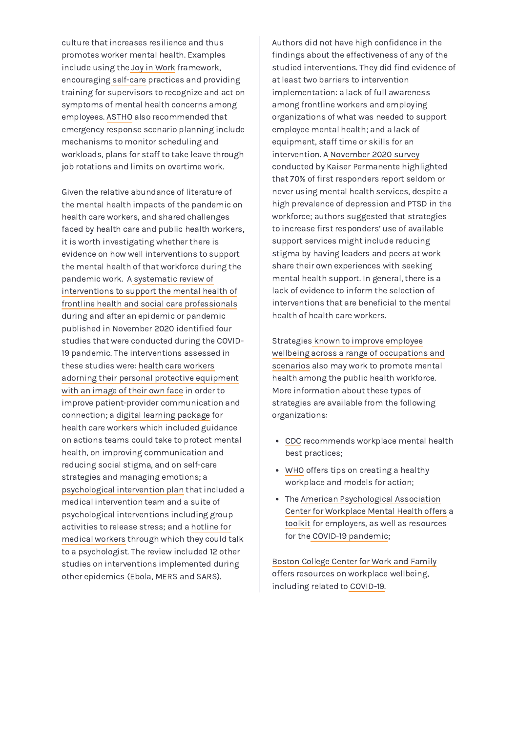culture that increases resilience and thus promotes worker mental health. Examples include using the Joy in [Work](http://www.ihi.org/resources/Pages/IHIWhitePapers/Framework-Improving-Joy-in-Work.aspx) framework, encouraging [self-care](https://www.astho.org/COVID-19/Practicing-Self-Care/) practices and providing training for supervisors to recognize and act on symptoms of mental health concerns among employees. [ASTHO](https://www.astho.org/statepublichealth/taking-care-of-public-health-worforce-post-pandemic/06-25-21/) also recommended that emergency response scenario planning include mechanisms to monitor scheduling and workloads, plans for staff to take leave through job rotations and limits on overtime work.

Given the relative abundance of literature of the mental health impacts of the pandemic on health care workers, and shared challenges faced by health care and public health workers, it is worth investigating whether there is evidence on how well interventions to support the mental health of that workforce during the pandemic work. A systematic review of interventions to support the mental health of frontline health and social care [professionals](https://pubmed.ncbi.nlm.nih.gov/33150970/) during and after an epidemic or pandemic published in November 2020 identified four studies that were conducted during the COVID-19 pandemic. The interventions assessed in these studies were: health care workers adorning their personal protective [equipment](https://www.ncbi.nlm.nih.gov/pmc/articles/PMC7224350/) with an image of their own face in order to improve patient-provider communication and connection; a digital learning [package](https://www.mdpi.com/1660-4601/17/9/2997) for health care workers which included guidance on actions teams could take to protect mental health, on improving communication and reducing social stigma, and on self-care strategies and managing emotions; a [psychological](https://www.thelancet.com/journals/lanpsy/article/PIIS2215-0366(20)30078-X/fulltext) intervention plan that included a medical intervention team and a suite of psychological interventions including group [activities](https://www.ncbi.nlm.nih.gov/pmc/articles/PMC7179543/) to release stress; and a hotline for medical workers through which they could talk to a psychologist. The review included 12 other studies on interventions implemented during other epidemics (Ebola, MERS and SARS).

Authors did not have high confidence in the findings about the effectiveness of any of the studied interventions. They did find evidence of at least two barriers to intervention implementation: a lack of full awareness among frontline workers and employing organizations of what was needed to support employee mental health; and a lack of equipment, staff time or skills for an intervention. A November 2020 survey conducted by Kaiser [Permanente](https://business.kaiserpermanente.org/insights/mental-health-workplace/first-responder-support) highlighted that 70% of first responders report seldom or never using mental health services, despite a high prevalence of depression and PTSD in the workforce; authors suggested that strategies to increase first responders' use of available support services might include reducing stigma by having leaders and peers at work share their own experiences with seeking mental health support. In general, there is a lack of evidence to inform the selection of interventions that are beneficial to the mental health of health care workers.

Strategies known to improve employee wellbeing across a range of [occupations](https://www.thelancet.com/journals/lanpsy/article/PIIS2215-0366(20)30224-8/fulltext) and scenarios also may work to promote mental health among the public health workforce. More information about these types of strategies are available from the following organizations:

- [CDC](https://www.cdc.gov/workplacehealthpromotion/tools-resources/workplace-health/mental-health/index.html) recommends workplace mental health best practices;
- [WHO](https://www.who.int/teams/mental-health-and-substance-use/mental-health-in-the-workplace) offers tips on creating a healthy workplace and models for action;
- The American [Psychological](https://www.workplacementalhealth.org/) Association Center for Workplace Mental Health offers a [toolkit](https://www.workplacementalhealth.org/employer-resources/the-working-well-toolkit) for employers, as well as resources for the COVID-19 [pandemic](https://www.workplacementalhealth.org/news-events/covid-19-mental-health-and-well-being);

Boston [College](https://www.bc.edu/content/bc-web/schools/carroll-school/sites/center-for-work-family/research/employee-well-being.html) Center for Work and Family offers resources on workplace wellbeing, including related to [COVID-19](https://www.bc.edu/content/bc-web/schools/carroll-school/sites/center-for-work-family/research/COVID-19ResourcesUpdates.html).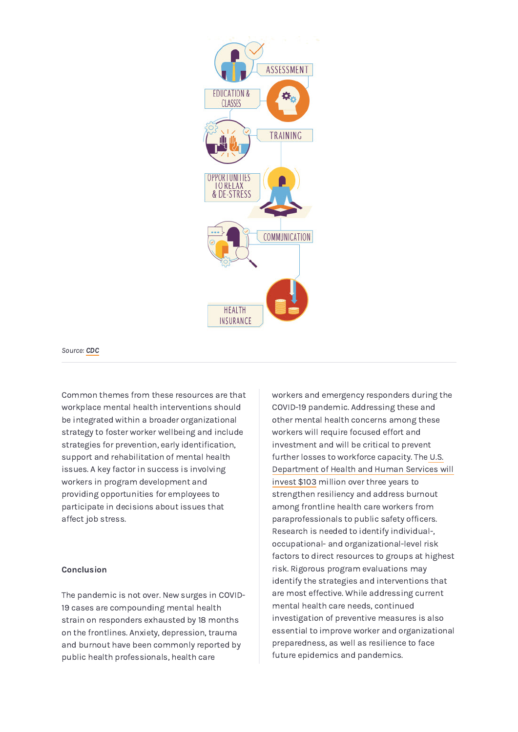

Source: [CDC](https://www.cdc.gov/workplacehealthpromotion/tools-resources/workplace-health/mental-health/index.html)

Common themes from these resources are that workplace mental health interventions should be integrated within a broader organizational strategy to foster worker wellbeing and include strategies for prevention, early identification, support and rehabilitation of mental health issues. A key factor in success is involving workers in program development and providing opportunities for employees to participate in decisions about issues that affect job stress.

#### **Conclusion**

The pandemic is not over. New surges in COVID-19 cases are compounding mental health strain on responders exhausted by 18 months on the frontlines. Anxiety, depression, trauma and burnout have been commonly reported by public health professionals, health care

workers and emergency responders during the COVID-19 pandemic. Addressing these and other mental health concerns among these workers will require focused effort and investment and will be critical to prevent further losses to workforce capacity. The U.S. [Department](https://www.hhs.gov/about/news/2021/07/16/hhs-announces-103-million-arp-funding-to-address-health-workforce-burnout.html) of Health and Human Services will invest \$103 million over three years to strengthen resiliency and address burnout among frontline health care workers from paraprofessionals to public safety officers. Research is needed to identify individual-, occupational- and organizational-level risk factors to direct resources to groups at highest risk. Rigorous program evaluations may identify the strategies and interventions that are most effective. While addressing current mental health care needs, continued investigation of preventive measures is also essential to improve worker and organizational preparedness, as well as resilience to face future epidemics and pandemics.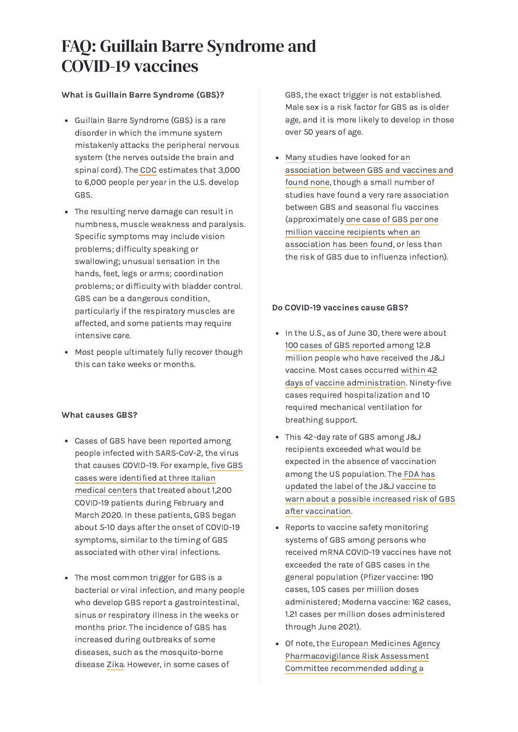# <span id="page-7-0"></span>FAQ: Guillain Barre Syndrome and COVID-19 vaccines

#### What is Guillain Barre Syndrome (GBS)?

- Guillain Barre Syndrome (GBS) is a rare disorder in which the immune system mistakenly attacks the peripheral nervous system (the nerves outside the brain and spinal cord). The [CDC](https://www.cdc.gov/vaccinesafety/concerns/guillain-barre-syndrome.html) estimates that 3,000 to 6,000 people per year in the U.S. develop GBS.
- The resulting nerve damage can result in numbness, muscle weakness and paralysis. Specific symptoms may include vision problems; difficulty speaking or swallowing; unusual sensation in the hands, feet, legs or arms; coordination problems; or difficulty with bladder control. GBS can be a dangerous condition, particularly if the respiratory muscles are affected, and some patients may require intensive care.
- Most people ultimately fully recover though this can take weeks or months.

#### What causes GBS?

- Cases of GBS have been reported among people infected with SARS-CoV-2, the virus that causes COVID-19. For example, five GBS cases were [identified](https://www.nejm.org/doi/full/10.1056/NEJMc2009191) at three Italian medical centers that treated about 1,200 COVID-19 patients during February and March 2020. In these patients, GBS began about 5-10 days after the onset of COVID-19 symptoms, similar to the timing of GBS associated with other viral infections.
- The most common trigger for GBS is a bacterial or viral infection, and many people who develop GBS report a gastrointestinal, sinus or respiratory illness in the weeks or months prior. The incidence of GBS has increased during outbreaks of some diseases, such as the mosquito-borne disease [Zika](https://www.cdc.gov/zika/healtheffects/gbs-qa.html). However, in some cases of

GBS, the exact trigger is not established. Male sex is a risk factor for GBS as is older age, and it is more likely to develop in those over 50 years of age.

Many studies have looked for an [association](https://www.nature.com/articles/s41582-019-0250-9) between GBS and vaccines and found none, though a small number of studies have found a very rare association between GBS and seasonal flu vaccines [\(approximately](https://www.cdc.gov/vaccinesafety/concerns/guillain-barre-syndrome.html) one case of GBS per one million vaccine recipients when an association has been found, or less than the risk of GBS due to influenza infection).

#### Do COVID-19 vaccines cause GBS?

- In the U.S., as of June 30, there were about 100 cases of GBS [reported](https://www.cdc.gov/vaccines/acip/meetings/downloads/slides-2021-07/02-COVID-Alimchandani-508.pdf) among 12.8 million people who have received the J&J vaccine. Most cases occurred within 42 days of vaccine [administration.](https://www.fda.gov/media/146305/download) Ninety-five cases required hospitalization and 10 required mechanical ventilation for breathing support.
- This 42-day rate of GBS among J&J recipients exceeded what would be expected in the absence of vaccination among the US population. The FDA has updated the label of the J&J vaccine to warn about a possible increased risk of GBS after [vaccination.](https://www.fda.gov/media/146304/download)
- Reports to vaccine safety monitoring systems of GBS among persons who received mRNA COVID-19 vaccines have not exceeded the rate of GBS cases in the general population (Pfizer vaccine: 190 cases, 1.05 cases per million doses administered; Moderna vaccine: 162 cases, 1.21 cases per million doses administered through June 2021).
- Of note, the European Medicines Agency [Pharmacovigilance](https://www.ema.europa.eu/en/news/meeting-highlights-pharmacovigilance-risk-assessment-committee-prac-5-8-july-2021) Risk Assessment Committee recommended adding a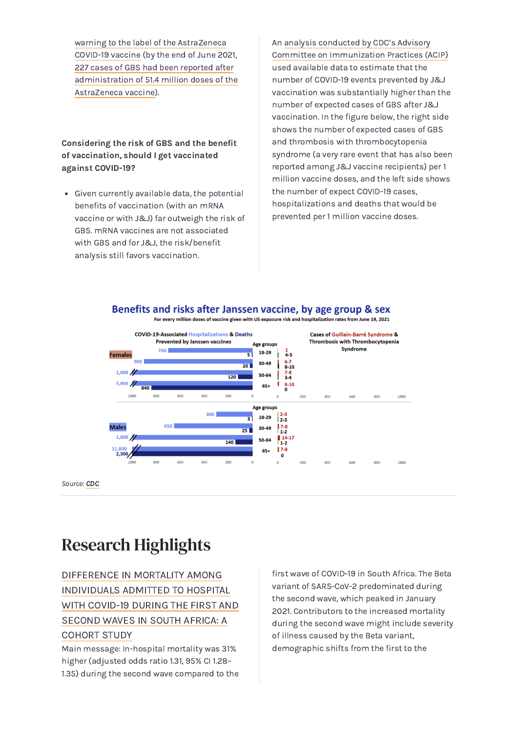warning to the label of the [AstraZeneca](https://www.ema.europa.eu/en/news/meeting-highlights-pharmacovigilance-risk-assessment-committee-prac-5-8-july-2021) COVID-19 vaccine (by the end of June 2021, 227 cases of GBS had been reported after [administration](https://www.cdc.gov/vaccines/acip/meetings/downloads/slides-2021-07/02-COVID-Alimchandani-508.pdf) of 51.4 million doses of the AstraZeneca vaccine).

Considering the risk of GBS and the benefit of vaccination, should I get vaccinated against COVID-19?

Given currently available data, the potential benefits of vaccination (with an mRNA vaccine or with J&J) far outweigh the risk of GBS. mRNA vaccines are not associated with GBS and for J&J, the risk/benefit analysis still favors vaccination.

An analysis conducted by CDC's Advisory Committee on [Immunization](https://www.cdc.gov/vaccines/acip/meetings/slides-2021-07-22.html) Practices (ACIP) used available data to estimate that the number of COVID-19 events prevented by J&J vaccination was substantially higher than the number of expected cases of GBS after J&J vaccination. In the figure below, the right side shows the number of expected cases of GBS and thrombosis with thrombocytopenia syndrome (a very rare event that has also been reported among J&J vaccine recipients) per 1 million vaccine doses, and the left side shows the number of expect COVID-19 cases, hospitalizations and deaths that would be prevented per 1 million vaccine doses.

### Benefits and risks after Janssen vaccine, by age group & sex



Source: [CDC](https://www.cdc.gov/vaccines/acip/meetings/downloads/slides-2021-07/05-COVID-Rosenblum-508.pdf)

# <span id="page-8-0"></span>Research Highlights

## DIFFERENCE IN MORTALITY AMONG [INDIVIDUALS](https://www.thelancet.com/journals/langlo/article/PIIS2214-109X(21)00289-8/fulltext) ADMITTED TO HOSPITAL WITH COVID-19 DURING THE FIRST AND SECOND WAVES IN SOUTH AFRICA: A COHORT STUDY

Main message: In-hospital mortality was 31% higher (adjusted odds ratio 1.31, 95% CI 1.28– 1.35) during the second wave compared to the

first wave of COVID-19 in South Africa. The Beta variant of SARS-CoV-2 predominated during the second wave, which peaked in January 2021. Contributors to the increased mortality during the second wave might include severity of illness caused by the Beta variant, demographic shifts from the first to the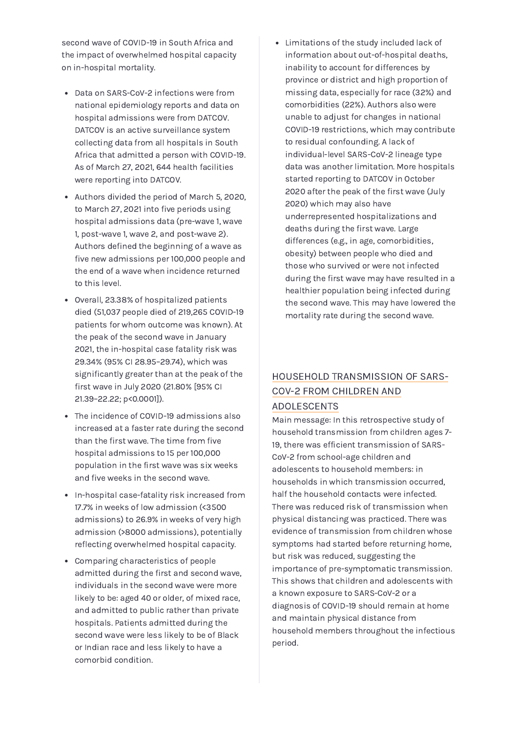second wave of COVID-19 in South Africa and the impact of overwhelmed hospital capacity on in-hospital mortality.

- Data on SARS-CoV-2 infections were from national epidemiology reports and data on hospital admissions were from DATCOV. DATCOV is an active surveillance system collecting data from all hospitals in South Africa that admitted a person with COVID-19. As of March 27, 2021, 644 health facilities were reporting into DATCOV.
- Authors divided the period of March 5, 2020, to March 27, 2021 into five periods using hospital admissions data (pre-wave 1, wave 1, post-wave 1, wave 2, and post-wave 2). Authors defined the beginning of a wave as five new admissions per 100,000 people and the end of a wave when incidence returned to this level.
- Overall, 23.38% of hospitalized patients died (51,037 people died of 219,265 COVID-19 patients for whom outcome was known). At the peak of the second wave in January 2021, the in-hospital case fatality risk was 29.34% (95% CI 28.95–29.74), which was significantly greater than at the peak of the first wave in July 2020 (21.80% [95% CI 21.39–22.22; p<0.0001]).
- The incidence of COVID-19 admissions also increased at a faster rate during the second than the first wave. The time from five hospital admissions to 15 per 100,000 population in the first wave was six weeks and five weeks in the second wave.
- In-hospital case-fatality risk increased from 17.7% in weeks of low admission (<3500 admissions) to 26.9% in weeks of very high admission (>8000 admissions), potentially reflecting overwhelmed hospital capacity.
- Comparing characteristics of people admitted during the first and second wave, individuals in the second wave were more likely to be: aged 40 or older, of mixed race, and admitted to public rather than private hospitals. Patients admitted during the second wave were less likely to be of Black or Indian race and less likely to have a comorbid condition.

Limitations of the study included lack of information about out-of-hospital deaths, inability to account for differences by province or district and high proportion of missing data, especially for race (32%) and comorbidities (22%). Authors also were unable to adjust for changes in national COVID-19 restrictions, which may contribute to residual confounding. A lack of individual-level SARS-CoV-2 lineage type data was another limitation. More hospitals started reporting to DATCOV in October 2020 after the peak of the first wave (July 2020) which may also have underrepresented hospitalizations and deaths during the first wave. Large differences (e.g., in age, comorbidities, obesity) between people who died and those who survived or were not infected during the first wave may have resulted in a healthier population being infected during the second wave. This may have lowered the mortality rate during the second wave.

## HOUSEHOLD [TRANSMISSION](https://www.nejm.org/doi/full/10.1056/NEJMc2031915?query=TOC&cid=NEJM%20eToc,%20July%2022,%202021%20B%20DM162200_NEJM_Non_Subscriber&bid=560686967) OF SARS-COV-2 FROM CHILDREN AND ADOLESCENTS

Main message: In this retrospective study of household transmission from children ages 7- 19, there was efficient transmission of SARS-CoV-2 from school-age children and adolescents to household members: in households in which transmission occurred, half the household contacts were infected. There was reduced risk of transmission when physical distancing was practiced. There was evidence of transmission from children whose symptoms had started before returning home, but risk was reduced, suggesting the importance of pre-symptomatic transmission. This shows that children and adolescents with a known exposure to SARS-CoV-2 or a diagnosis of COVID-19 should remain at home and maintain physical distance from household members throughout the infectious period.